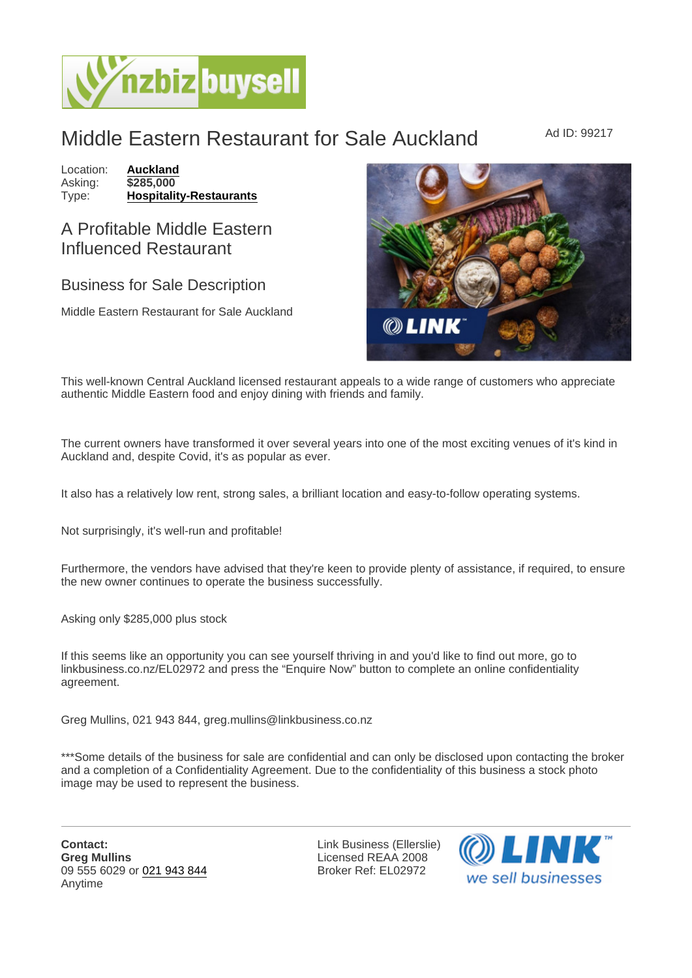## Middle Eastern Restaurant for Sale Auckland Ad ID: 99217

Location: [Auckland](https://www.nzbizbuysell.co.nz/businesses-for-sale/location/Auckland) Asking: \$285,000<br>Type: Hospitality [Hospitality-Restaurants](https://www.nzbizbuysell.co.nz/businesses-for-sale/Restaurants/New-Zealand)

## A Profitable Middle Eastern Influenced Restaurant

## Business for Sale Description

Middle Eastern Restaurant for Sale Auckland

This well-known Central Auckland licensed restaurant appeals to a wide range of customers who appreciate authentic Middle Eastern food and enjoy dining with friends and family.

The current owners have transformed it over several years into one of the most exciting venues of it's kind in Auckland and, despite Covid, it's as popular as ever.

It also has a relatively low rent, strong sales, a brilliant location and easy-to-follow operating systems.

Not surprisingly, it's well-run and profitable!

Furthermore, the vendors have advised that they're keen to provide plenty of assistance, if required, to ensure the new owner continues to operate the business successfully.

Asking only \$285,000 plus stock

If this seems like an opportunity you can see yourself thriving in and you'd like to find out more, go to linkbusiness.co.nz/EL02972 and press the "Enquire Now" button to complete an online confidentiality agreement.

Greg Mullins, 021 943 844, greg.mullins@linkbusiness.co.nz

\*\*\*Some details of the business for sale are confidential and can only be disclosed upon contacting the broker and a completion of a Confidentiality Agreement. Due to the confidentiality of this business a stock photo image may be used to represent the business.

Contact: Greg Mullins 09 555 6029 or [021 943 844](tel:021 943 844) Anytime

Link Business (Ellerslie) Licensed REAA 2008 Broker Ref: EL02972